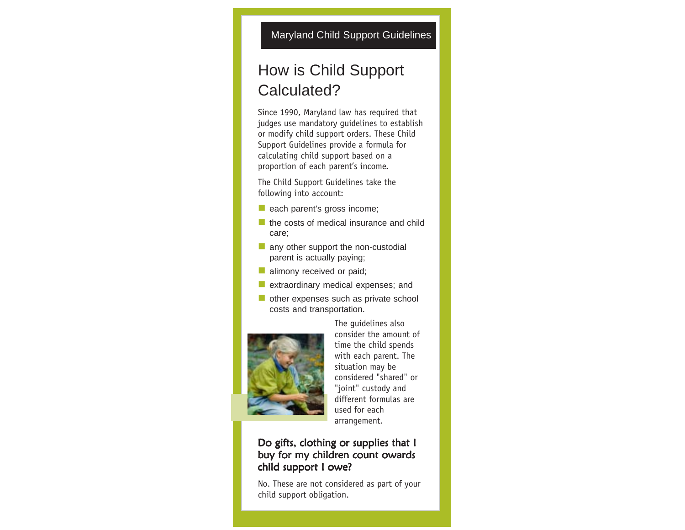## How is Child Support Calculated?

Since 1990, Maryland law has required that judges use mandatory guidelines to establish or modify child support orders. These Child Support Guidelines provide a formula for calculating child support based on a proportion of each parent's income.

The Child Support Guidelines take the following into account:

- each parent's gross income;
- $\blacksquare$  the costs of medical insurance and child care;
- any other support the non-custodial parent is actually paying;
- **alimony received or paid;**
- extraordinary medical expenses; and
- other expenses such as private school costs and transportation.



The guidelines also consider the amount of time the child spends with each parent. The situation may be considered "shared" or "joint" custody and different formulas are used for each arrangement.

## Do gifts, clothing or supplies that I buy for my children count owards child support I owe?

No. These are not considered as part of your child support obligation.